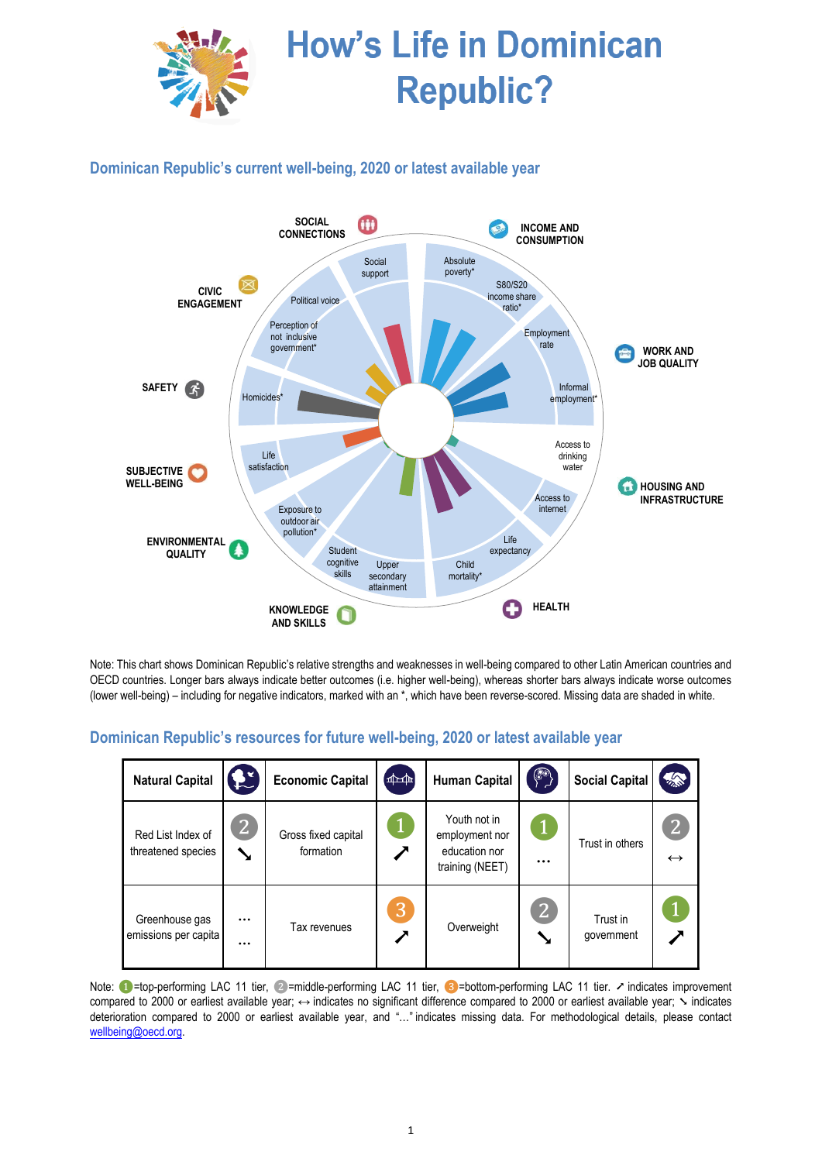

# **How's Life in Dominican Republic?**

**Dominican Republic's current well-being, 2020 or latest available year**



Note: This chart shows Dominican Republic's relative strengths and weaknesses in well-being compared to other Latin American countries and OECD countries. Longer bars always indicate better outcomes (i.e. higher well-being), whereas shorter bars always indicate worse outcomes (lower well-being) – including for negative indicators, marked with an \*, which have been reverse-scored. Missing data are shaded in white.

#### **Natural Capital**  $\begin{bmatrix} 1 & 1 \end{bmatrix}$  **Economic Capital**  $\begin{bmatrix} 4 & 1 \end{bmatrix}$  **Human Capital**  $\begin{bmatrix} 6 & 3 \end{bmatrix}$  **Social Capital** Red List Index of threatened species ❷ ➘ Gross fixed capital formation ❶ ➚ Youth not in employment nor education nor training (NEET) ❶ … Trust in others **2** ↔ Greenhouse gas emissions per capita … … Tax revenues ❸ ➚ Overweight 2 ➘ Trust in government ❶ ➚

### **Dominican Republic's resources for future well-being, 2020 or latest available year**

Note: ●=top-performing LAC 11 tier, ②=middle-performing LAC 11 tier, ③=bottom-performing LAC 11 tier. ↗ indicates improvement compared to 2000 or earliest available year; ↔ indicates no significant difference compared to 2000 or earliest available year;  $\sim$  indicates deterioration compared to 2000 or earliest available year, and "…" indicates missing data. For methodological details, please contact [wellbeing@oecd.org.](mailto:wellbeing@oecd.org)